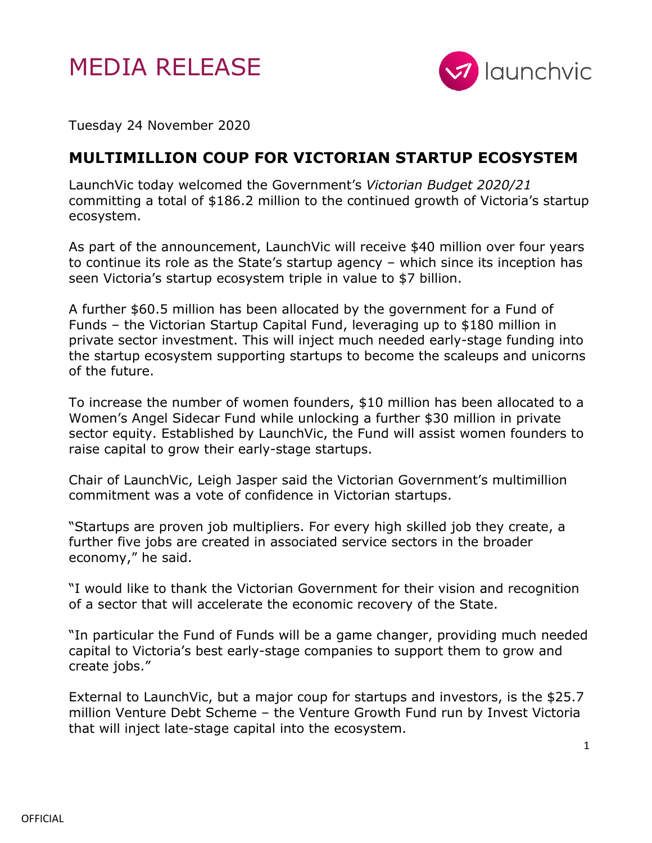



Tuesday 24 November 2020

## **MULTIMILLION COUP FOR VICTORIAN STARTUP ECOSYSTEM**

LaunchVic today welcomed the Government's *Victorian Budget 2020/21* committing a total of \$186.2 million to the continued growth of Victoria's startup ecosystem.

As part of the announcement, LaunchVic will receive \$40 million over four years to continue its role as the State's startup agency – which since its inception has seen Victoria's startup ecosystem triple in value to \$7 billion.

A further \$60.5 million has been allocated by the government for a Fund of Funds – the Victorian Startup Capital Fund, leveraging up to \$180 million in private sector investment. This will inject much needed early-stage funding into the startup ecosystem supporting startups to become the scaleups and unicorns of the future.

To increase the number of women founders, \$10 million has been allocated to a Women's Angel Sidecar Fund while unlocking a further \$30 million in private sector equity. Established by LaunchVic, the Fund will assist women founders to raise capital to grow their early-stage startups.

Chair of LaunchVic, Leigh Jasper said the Victorian Government's multimillion commitment was a vote of confidence in Victorian startups.

"Startups are proven job multipliers. For every high skilled job they create, a further five jobs are created in associated service sectors in the broader economy," he said.

"I would like to thank the Victorian Government for their vision and recognition of a sector that will accelerate the economic recovery of the State.

"In particular the Fund of Funds will be a game changer, providing much needed capital to Victoria's best early-stage companies to support them to grow and create jobs."

External to LaunchVic, but a major coup for startups and investors, is the \$25.7 million Venture Debt Scheme – the Venture Growth Fund run by Invest Victoria that will inject late-stage capital into the ecosystem.